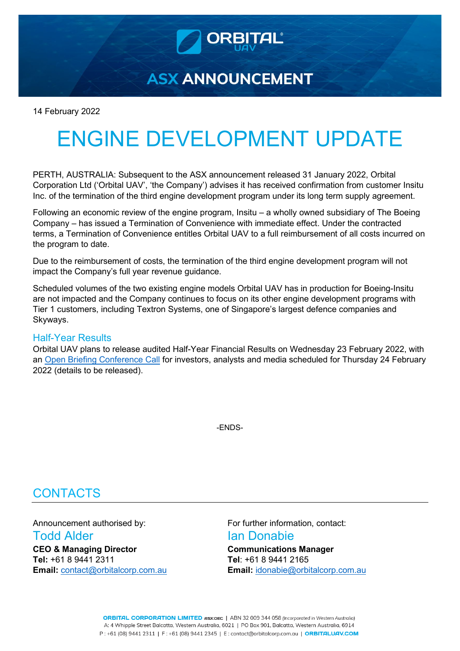**ASX ANNOUNCEMENT** 

14 February 2022

# ENGINE DEVELOPMENT UPDATE

PERTH, AUSTRALIA: Subsequent to the ASX announcement released 31 January 2022, Orbital Corporation Ltd ('Orbital UAV', 'the Company') advises it has received confirmation from customer Insitu Inc. of the termination of the third engine development program under its long term supply agreement.

Following an economic review of the engine program, Insitu – a wholly owned subsidiary of The Boeing Company – has issued a Termination of Convenience with immediate effect. Under the contracted terms, a Termination of Convenience entitles Orbital UAV to a full reimbursement of all costs incurred on the program to date.

Due to the reimbursement of costs, the termination of the third engine development program will not impact the Company's full year revenue guidance.

Scheduled volumes of the two existing engine models Orbital UAV has in production for Boeing-Insitu are not impacted and the Company continues to focus on its other engine development programs with Tier 1 customers, including Textron Systems, one of Singapore's largest defence companies and Skyways.

### Half-Year Results

Orbital UAV plans to release audited Half-Year Financial Results on Wednesday 23 February 2022, with an [Open Briefing Conference Call](https://www.openbriefing.com/CompanyProfile.aspx/GjPZAPoIIGtLvOcASQybg3StkqHjKHZl7lELQcZrxcY%3d) for investors, analysts and media scheduled for Thursday 24 February 2022 (details to be released).

-ENDS-

## **CONTACTS**

Announcement authorised by: For further information, contact: **Todd Alder Ian Donabie CEO & Managing Director Communications Manager**

**Tel:** +61 8 9441 2311 **Tel**: +61 8 9441 2165 **Email:** [contact@orbitalcorp.com.au](mailto:contact@orbitalcorp.com.au) **Email:** [idonabie@orbitalcorp.com.au](mailto:idonabie@orbitalcorp.com.au)